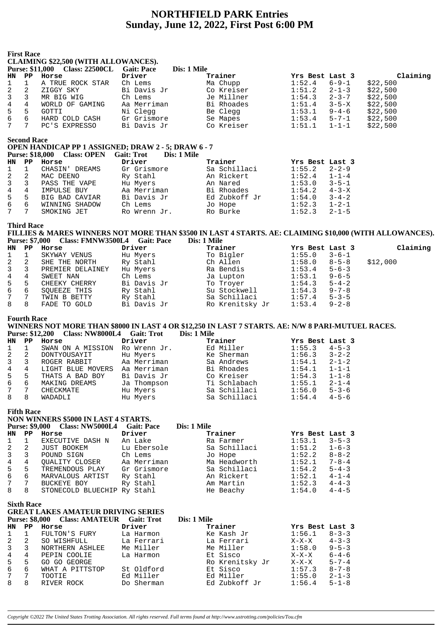## **NORTHFIELD PARK Entries** Sunday, June 12, 2022, First Post 6:00 PM

|                | <b>First Race</b>                          | <b>CLAIMING \$22,500 (WITH ALLOWANCES).</b>                                                                                                                        |                   |             |                 |                 |             |          |
|----------------|--------------------------------------------|--------------------------------------------------------------------------------------------------------------------------------------------------------------------|-------------------|-------------|-----------------|-----------------|-------------|----------|
|                |                                            | Purse: \$11,000 Class: 22500CL Gait: Pace                                                                                                                          |                   | Dis: 1 Mile |                 |                 |             |          |
| HN             | $\mathbf{P} \mathbf{P}$                    | Horse                                                                                                                                                              | Driver            |             | Trainer         | Yrs Best Last 3 |             | Claiming |
| 1              | $\mathbf{1}$                               | A TRUE ROCK STAR                                                                                                                                                   | Ch Lems           |             | Ma Chupp        | 1:52.4          | $6 - 9 - 1$ | \$22,500 |
| 2              | 2                                          | ZIGGY SKY                                                                                                                                                          | Bi Davis Jr       |             | Co Kreiser      | 1:51.2          | $2 - 1 - 3$ | \$22,500 |
| 3              | 3                                          | MR BIG WIG                                                                                                                                                         | Ch Lems           |             | Je Millner      | 1:54.3          | $2 - 3 - 7$ | \$22,500 |
| 4              | 4                                          | WORLD OF GAMING                                                                                                                                                    | Aa Merriman       |             | Bi Rhoades      | 1:51.4          | $3 - 5 - X$ | \$22,500 |
| 5              | 5                                          | GOTTI                                                                                                                                                              | Ni Clegg          |             | Be Clegg        | 1:53.1          | $9 - 4 - 6$ | \$22,500 |
| 6              | 6                                          | HARD COLD CASH                                                                                                                                                     | Gr Grismore       |             | Se Mapes        | 1:53.4          | $5 - 7 - 1$ | \$22,500 |
| 7              | 7                                          | PC'S EXPRESSO                                                                                                                                                      | Bi Davis Jr       |             | Co Kreiser      | 1:51.1          | $1 - 1 - 1$ | \$22,500 |
|                | <b>Second Race</b>                         | OPEN HANDICAP PP 1 ASSIGNED; DRAW 2 - 5; DRAW 6 - 7<br><b>Purse: \$18,000</b><br><b>Class: OPEN</b>                                                                | <b>Gait: Trot</b> | Dis: 1 Mile |                 |                 |             |          |
| <b>HN</b>      | $_{\rm PP}$                                | Horse                                                                                                                                                              | Driver            |             | Trainer         | Yrs Best Last 3 |             |          |
| 1              | $\mathbf 1$                                | CHASIN' DREAMS                                                                                                                                                     | Gr Grismore       |             | Sa Schillaci    | 1:55.2          | $2 - 2 - 9$ |          |
| 2              | 2                                          | MAC DEENO                                                                                                                                                          | Ry Stahl          |             | An Rickert      | 1:52.4          | $1 - 1 - 4$ |          |
| 3              | 3                                          | PASS THE VAPE                                                                                                                                                      | Hu Myers          |             | An Nared        | 1:53.0          | $3 - 5 - 1$ |          |
| 4              | 4                                          | IMPULSE BUY                                                                                                                                                        | Aa Merriman       |             | Bi Rhoades      | 1:54.2          | $4 - 3 - X$ |          |
| 5              | 5                                          | BIG BAD CAVIAR                                                                                                                                                     | Bi Davis Jr       |             | Ed Zubkoff Jr   | 1:54.0          | $3 - 4 - 2$ |          |
| 6              | 6                                          | WINNING SHADOW                                                                                                                                                     | Ch Lems           |             | Jo Hope         | 1:52.3          | $1 - 2 - 1$ |          |
| 7              | 7                                          | SMOKING JET                                                                                                                                                        | Ro Wrenn Jr.      |             | Ro Burke        | 1:52.3          | $2 - 1 - 5$ |          |
|                | <b>Third Race</b><br><b>Purse: \$7,000</b> | FILLIES & MARES WINNERS NOT MORE THAN \$3500 IN LAST 4 STARTS. AE: CLAIMING \$10,000 (WITH ALLOWANCES).<br>Class: FMNW3500L4 Gait: Pace                            |                   |             | Dis: 1 Mile     |                 |             |          |
| <b>HN</b>      | $\mathbf{PP}$                              | Horse                                                                                                                                                              | Driver            |             | Trainer         | Yrs Best Last 3 |             | Claiming |
| 1              | $\mathbf 1$                                | SKYWAY VENUS                                                                                                                                                       | Hu Myers          |             | To Bigler       | 1:55.0          | $3 - 6 - 1$ |          |
| 2              | 2                                          | SHE THE NORTH                                                                                                                                                      | Ry Stahl          |             | Ch Allen        | 1:58.0          | $8 - 5 - 8$ | \$12,000 |
| 3              | 3                                          | PREMIER DELAINEY                                                                                                                                                   | Hu Myers          |             | Ra Bendis       | 1:53.4          | $5 - 6 - 3$ |          |
| 4              | 4                                          | SWEET NAN                                                                                                                                                          | Ch Lems           |             | Ja Lupton       | 1:53.1          | $9 - 6 - 5$ |          |
| 5              | 5                                          | CHEEKY CHERRY                                                                                                                                                      | Bi Davis Jr       |             | To Troyer       | 1:54.3          | $5 - 4 - 2$ |          |
| 6              | 6                                          | SQUEEZE THIS                                                                                                                                                       | Ry Stahl          |             | Su Stockwell    | 1:54.3          | $9 - 7 - 8$ |          |
| 7              | 7                                          | TWIN B BETTY                                                                                                                                                       | Ry Stahl          |             | Sa Schillaci    | 1:57.4          | $5 - 3 - 5$ |          |
| 8              | 8                                          | FADE TO GOLD                                                                                                                                                       | Bi Davis Jr       |             | Ro Krenitsky Jr | 1:53.4          | $9 - 2 - 8$ |          |
| <b>HN</b>      | <b>Fourth Race</b><br>$_{\rm PP}$          | WINNERS NOT MORE THAN \$8000 IN LAST 4 OR \$12,250 IN LAST 7 STARTS. AE: N/W 8 PARI-MUTUEL RACES.<br><b>Purse: \$12,200</b><br>Class: NW8000L4 Gait: Trot<br>Horse | Driver            | Dis: 1 Mile | Trainer         | Yrs Best Last 3 |             |          |
| 1              | 1                                          | SWAN ON A MISSION Ro Wrenn Jr.                                                                                                                                     |                   |             | Ed Miller       | 1:55.3          | $4 - 5 - 3$ |          |
| 2              | 2                                          | DONTYOUSAYIT                                                                                                                                                       | Hu Myers          |             | Ke Sherman      | 1:56.3          | $3 - 2 - 2$ |          |
| 3              | 3                                          | ROGER RABBIT                                                                                                                                                       | Aa Merriman       |             | Sa Andrews      | 1:54.1          | $2 - 1 - 2$ |          |
| $\overline{4}$ | $\overline{4}$                             | LIGHT BLUE MOVERS Aa Merriman                                                                                                                                      |                   |             | Bi Rhoades      | 1:54.1          | $1 - 1 - 1$ |          |
| 5              | 5                                          | THATS A BAD BOY                                                                                                                                                    | Bi Davis Jr       |             | Co Kreiser      | 1:54.3          | $1 - 1 - 8$ |          |
| б              | 6                                          | MAKING DREAMS                                                                                                                                                      | Ja Thompson       |             | Ti Schlabach    | 1:55.1          | $2 - 1 - 4$ |          |
| 7              | 7                                          | CHECKMATE                                                                                                                                                          | Hu Myers          |             | Sa Schillaci    | 1:56.0          | $5 - 3 - 6$ |          |
| 8              | 8                                          | WADADLI                                                                                                                                                            | Hu Myers          |             | Sa Schillaci    | 1:54.4          | $4 - 5 - 6$ |          |
|                | <b>Fifth Race</b>                          | NON WINNERS \$5000 IN LAST 4 STARTS.<br>Purse: \$9,000 Class: NW5000L4 Gait: Pace                                                                                  |                   | Dis: 1 Mile |                 |                 |             |          |
| HN             | $\mathbf{P} \mathbf{P}$                    | Horse                                                                                                                                                              | Driver            |             | Trainer         | Yrs Best Last 3 |             |          |
| 1              | $\mathbf 1$                                | EXECUTIVE DASH N                                                                                                                                                   | An Lake           |             | Ra Farmer       | 1:53.1          | $3 - 5 - 3$ |          |
| 2              | 2                                          | JUST BOOKEM                                                                                                                                                        | Lu Ebersole       |             | Sa Schillaci    | 1:51.2          | $1 - 6 - 3$ |          |
| 3              | 3                                          | POUND SIGN                                                                                                                                                         | Ch Lems           |             | Jo Hope         | 1:52.2          | $8 - 8 - 2$ |          |
| 4              | 4                                          | QUALITY CLOSER                                                                                                                                                     | Aa Merriman       |             | Ma Headworth    | 1:52.1          | $7 - 8 - 4$ |          |
| 5              | 5                                          | TREMENDOUS PLAY                                                                                                                                                    | Gr Grismore       |             | Sa Schillaci    | 1:54.2          | $5 - 4 - 3$ |          |
| 6              | 6                                          | MARVALOUS ARTIST                                                                                                                                                   | Ry Stahl          |             | An Rickert      | 1:52.1          | $4 - 1 - 4$ |          |
| 7              | 7                                          | BUCKEYE BOY                                                                                                                                                        | Ry Stahl          |             | Am Martin       | 1:52.3          | $4 - 4 - 3$ |          |
| 8              | 8                                          | STONECOLD BLUECHIP Ry Stahl                                                                                                                                        |                   |             | He Beachy       | 1:54.0          | $4 - 4 - 5$ |          |
| HN             | <b>Sixth Race</b><br>$_{\rm PP}$           | <b>GREAT LAKES AMATEUR DRIVING SERIES</b><br>Purse: \$8,000 Class: AMATEUR Gait: Trot<br>Horse                                                                     | Driver            | Dis: 1 Mile | Trainer         | Yrs Best Last 3 |             |          |
| 1              | $\mathbf{1}$                               | FULTON'S FURY                                                                                                                                                      | La Harmon         |             | Ke Kash Jr      | 1:56.1          | $8 - 3 - 3$ |          |
| 2              | 2                                          | SO WISHFULL                                                                                                                                                        | La Ferrari        |             | La Ferrari      | $X-X-X$         | $4 - 3 - 3$ |          |
| 3              | 3                                          | NORTHERN ASHLEE                                                                                                                                                    | Me Miller         |             | Me Miller       | 1:58.0          | $9 - 5 - 3$ |          |
| 4              | 4                                          | PEPIN COOLIE                                                                                                                                                       | La Harmon         |             | Et Sisco        | $X-X-X$         | $6 - 4 - 6$ |          |
| 5              | 5                                          | GO GO GEORGE                                                                                                                                                       |                   |             | Ro Krenitsky Jr | $X-X-X$         | $5 - 7 - 4$ |          |
| 6              | 6                                          | WHAT A PITTSTOP                                                                                                                                                    | St Oldford        |             | Et Sisco        | 1:57.3          | $8 - 7 - 8$ |          |
| 7              | 7                                          | TOOTIE                                                                                                                                                             | Ed Miller         |             | Ed Miller       | 1:55.0          | $2 - 1 - 3$ |          |
| 8              | 8                                          | RIVER ROCK                                                                                                                                                         | Do Sherman        |             | Ed Zubkoff Jr   | 1:56.4          | $5 - 1 - 8$ |          |
|                |                                            |                                                                                                                                                                    |                   |             |                 |                 |             |          |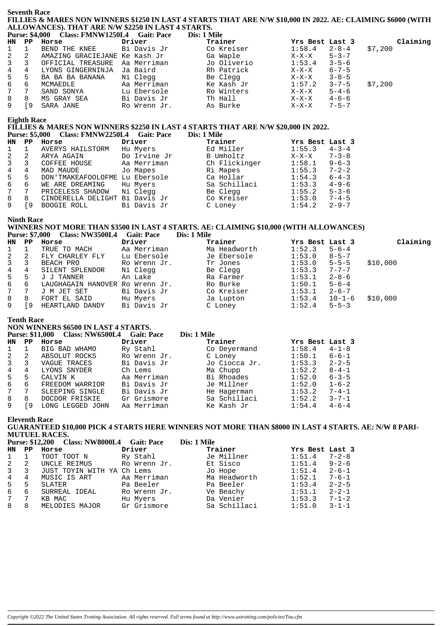#### **Seventh Race** FILLIES & MARES NON WINNERS \$1250 IN LAST 4 STARTS THAT ARE N/W \$10,000 IN 2022. AE: CLAIMING \$6000 (WITH ALLOWANCES). THAT ARE N/W \$2250 IN LAST 4 STARTS. **Tile**

| Purse: \$4,000 Class: FMNW1250L4 Gait: Pace | <b>Dis: 1 M</b> |
|---------------------------------------------|-----------------|

|                  | HN PP | Horse                          | Driver       | Trainer     | Yrs Best Last 3 |                  | Claiming |
|------------------|-------|--------------------------------|--------------|-------------|-----------------|------------------|----------|
| $1 \quad 1$      |       | BEND THE KNEE Bi Davis Jr      |              | Co Kreiser  |                 | $1:58.4$ $2-8-4$ | \$7,200  |
| $2 \quad 2$      |       | AMAZING GRACIEJANE Ke Kash Jr  |              | Ga Waple    | $X-X-X$         | $5 - 3 - 7$      |          |
| $3 \overline{3}$ |       | OFFICIAL TREASURE              | Aa Merriman  | Jo Oliverio | 1:53.4          | $3 - 5 - 6$      |          |
|                  |       | 4 4 LYONS GINGERNINJA Ja Baird |              | Rh Patrick  | $X-X-X$         | $6 - 7 - 5$      |          |
| 5 5              |       | BA BA BA BANANA     Ni Cleqq   |              | Be Clegg    | X-X-X           | $3 - 8 - 5$      |          |
| 6 6              |       | MCMAEDLE                       | Aa Merriman  | Ke Kash Jr  | 1:57.2          | $3 - 7 - 5$      | \$7,200  |
| 7 7              |       | SAND SONYA                     | Lu Ebersole  | Ro Winters  | $X-X-X$         | $5 - 4 - 6$      |          |
| 8                | 8     | MS GRAY SEA                    | Bi Davis Jr  | Th Hall     | $X-X-X$         | $4 - 6 - 6$      |          |
| 9                | [9    | SARA JANE                      | Ro Wrenn Jr. | As Burke    | $X-X-X$         | $7 - 5 - 7$      |          |

## **Eighth Race**

# FILLIES & MARES NON WINNERS \$2250 IN LAST 4 STARTS THAT ARE N/W \$20,000 IN 2022.

|             |                 | Purse: 35,000 Class: FININ WZZ50L4 Gall: Pace |            | DIS: 1 MHE    |
|-------------|-----------------|-----------------------------------------------|------------|---------------|
| <b>TTAT</b> | <b>DD</b> Hames |                                               | Dealers of | <b>maadaa</b> |

| HN.            | PP | Horse                          | Driver       | Trainer       | Yrs Best Last 3 |             |
|----------------|----|--------------------------------|--------------|---------------|-----------------|-------------|
| $\mathbf{1}$   |    | AVERYS HAILSTORM               | Hu Myers     | Ed Miller     | 1:55.3          | $4 - 3 - 4$ |
| 2              | 2  | ARYA AGAIN                     | Do Irvine Jr | B Umholtz     | $X-X-X$         | $7 - 3 - 8$ |
| $\overline{3}$ |    | COFFEE HOUSE                   | Aa Merriman  | Ch Flickinger | 1:58.1          | $9 - 6 - 3$ |
| 4              | 4  | MAD MAUDE                      | Jo Mapes     | Ri Mapes      | 1:55.3          | $7 - 2 - 2$ |
| 5              | 5  | DON'TMAKEAFOOLOFME             | Lu Ebersole  | Ca Hollar     | 1:54.3          | $6 - 4 - 3$ |
| 6              | 6  | WE ARE DREAMING                | Hu Myers     | Sa Schillaci  | 1:53.3          | $4 - 9 - 6$ |
| $7\degree$     |    | PRICELESS SHADOW               | Ni Clegg     | Be Clegg      | 1:55.2          | $5 - 3 - 6$ |
| 8              | 8  | CINDERELLA DELIGHT Bi Davis Jr |              | Co Kreiser    | 1:53.0          | $7 - 4 - 5$ |
|                | 9  | BOOGIE ROLL                    | Bi Davis Jr  | C Loney       | 1:54.2          | $2 - 9 - 7$ |
|                |    |                                |              |               |                 |             |

#### **Ninth Race**

#### WINNERS NOT MORE THAN \$3500 IN LAST 4 STARTS. AE: CLAIMING \$10,000 (WITH ALLOWANCES) Purse: \$7,000 Class: NW3500L4 Gait: Pace Dis: 1 Mile

| HN PP       |                 | Horse                               | Driver       | Trainer      | Yrs Best Last 3  |              | Claiming |
|-------------|-----------------|-------------------------------------|--------------|--------------|------------------|--------------|----------|
| $1 \quad 1$ |                 | TRUE TO MACH                        | Aa Merriman  | Ma Headworth | $1:52.3$ $5-6-4$ |              |          |
| 2           | - 2             | FLY CHARLEY FLY                     | Lu Ebersole  | Je Ebersole  | 1:53.0           | $8 - 5 - 7$  |          |
| 3 3         |                 | BEACH PRO                           | Ro Wrenn Jr. | Tr Jones     | $1:53.0$ $5-5-5$ |              | \$10,000 |
| 4           | 4               | SILENT SPLENDOR                     | Ni Clegg     | Be Clegg     | 1:53.3           | $7 - 7 - 7$  |          |
|             |                 | 5 5 J J TANNER                      | An Lake      | Ra Farmer    | 1:53.1           | $2 - 8 - 6$  |          |
|             |                 | 6 6 LAUGHAGAIN HANOVER Ro Wrenn Jr. |              | Ro Burke     | $1:50.1$ $5-6-4$ |              |          |
| 7           | $7\overline{ }$ | J M JET SET                         | Bi Davis Jr  | Co Kreiser   | 1:53.1           | $2 - 6 - 7$  |          |
| 8           | - 8             | FORT EL SAID                        | Hu Myers     | Ja Lupton    | 1:53.4           | $10 - 1 - 6$ | \$10,000 |
| 9           | [9              | HEARTLAND DANDY                     | Bi Davis Jr  | C Loney      | 1:52.4           | $5 - 5 - 3$  |          |

#### **Tenth Race**

### NON WINNERS \$6500 IN LAST 4 STARTS.

| THAT METAL AND AGAIN THE EVALUATION |                  |                   |                                        |        |                 |  |  |  |  |
|-------------------------------------|------------------|-------------------|----------------------------------------|--------|-----------------|--|--|--|--|
|                                     |                  | <b>Gait: Pace</b> | Dis: 1 Mile                            |        |                 |  |  |  |  |
| PP                                  | Horse            | Driver            | Trainer                                |        |                 |  |  |  |  |
|                                     | BIG BAD WHAMO    | Ry Stahl          | Co Deyermand                           | 1:58.4 | $4 - 1 - 8$     |  |  |  |  |
| 2                                   | ABSOLUT ROCKS    | Ro Wrenn Jr.      | C Loney                                | 1:50.1 | $6 - 6 - 1$     |  |  |  |  |
| 3                                   | VAGUE TRACES     | Bi Davis Jr       | Jo Ciocca Jr.                          | 1:53.3 | $2 - 2 - 5$     |  |  |  |  |
| 4                                   | LYONS SNYDER     | Ch Lems           | Ma Chupp                               | 1:52.2 | $8 - 4 - 1$     |  |  |  |  |
| 5                                   | CALVIN K         | Aa Merriman       | Bi Rhoades                             | 1:52.0 | $6 - 3 - 5$     |  |  |  |  |
| 6                                   | FREEDOM WARRIOR  | Bi Davis Jr       | Je Millner                             | 1:52.0 | $1 - 6 - 2$     |  |  |  |  |
| 7                                   | SLEEPING SINGLE  | Bi Davis Jr       | He Hagerman                            | 1:53.2 | $7 - 4 - 1$     |  |  |  |  |
| 8                                   | DOCDOR FRISKIE   | Gr Grismore       | Sa Schillaci                           | 1:52.2 | $3 - 7 - 1$     |  |  |  |  |
| 9                                   | LONG LEGGED JOHN | Aa Merriman       | Ke Kash Jr                             | 1:54.4 | $4 - 6 - 4$     |  |  |  |  |
|                                     |                  |                   | <b>Purse: \$11,000 Class: NW6500L4</b> |        | Yrs Best Last 3 |  |  |  |  |

#### **Eleventh Race**

GUARANTEED \$10,000 PICK 4 STARTS HERE WINNERS NOT MORE THAN \$8000 IN LAST 4 STARTS. AE: N/W 8 PARI-MUTUEL RACES.  $-1$  $\sim$   $\sim$   $\sim$ 

|     | <b>Purse: \$12,200 Class: NW8000L4</b><br>Gait: Pace |                    |              | Dis: 1 Mile  |                       |
|-----|------------------------------------------------------|--------------------|--------------|--------------|-----------------------|
| HN. | PP                                                   | Horse              | Driver       | Trainer      | Yrs Best Last 3       |
|     |                                                      | TOOT TOOT N        | Ry Stahl     | Je Millner   | 1:51.4<br>$7 - 2 - 8$ |
| 2   | - 2                                                  | UNCLE REIMUS       | Ro Wrenn Jr. | Et Sisco     | $9 - 2 - 6$<br>1:51.4 |
| 3   | $\overline{\phantom{a}3}$                            | JUST TOYIN WITH YA | Ch Lems      | Jo Hope      | 1:51.4<br>$2 - 6 - 1$ |
|     | 4                                                    | MUSIC IS ART       | Aa Merriman  | Ma Headworth | 1:52.1<br>$7 - 6 - 1$ |
| 5   | 5                                                    | SLATER             | Pa Beeler    | Pa Beeler    | 1:53.4<br>$2 - 2 - 5$ |
| 6   | 6                                                    | SURREAL IDEAL      | Ro Wrenn Jr. | Ve Beachy    | $2 - 2 - 1$<br>1:51.1 |
|     | -7                                                   | KB MAC             | Hu Myers     | Da Venier    | 1:53.3<br>$7 - 1 - 2$ |
| 8   | 8                                                    | MELODIES MAJOR     | Gr Grismore  | Sa Schillaci | 1:51.0<br>$3 - 1 - 1$ |